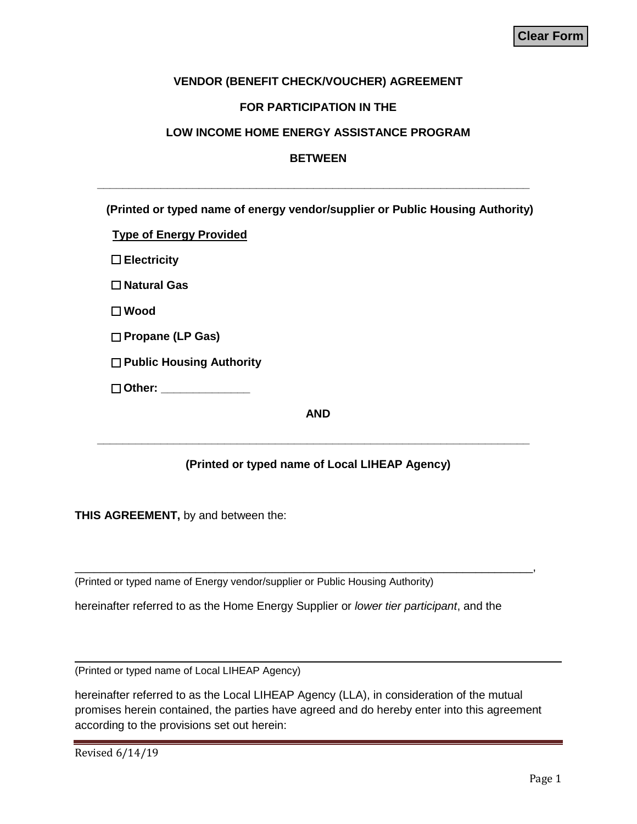## **VENDOR (BENEFIT CHECK/VOUCHER) AGREEMENT**

#### **FOR PARTICIPATION IN THE**

#### **LOW INCOME HOME ENERGY ASSISTANCE PROGRAM**

## **BETWEEN**

 **\_\_\_\_\_\_\_\_\_\_\_\_\_\_\_\_\_\_\_\_\_\_\_\_\_\_\_\_\_\_\_\_\_\_\_\_\_\_\_\_\_\_\_\_\_\_\_\_\_\_\_\_\_\_\_\_\_\_\_\_\_\_\_\_\_\_\_\_**

| (Printed or typed name of energy vendor/supplier or Public Housing Authority)                                                                                                                                                        |
|--------------------------------------------------------------------------------------------------------------------------------------------------------------------------------------------------------------------------------------|
| <b>Type of Energy Provided</b>                                                                                                                                                                                                       |
| $\square$ Electricity                                                                                                                                                                                                                |
| $\Box$ Natural Gas                                                                                                                                                                                                                   |
| $\square$ Wood                                                                                                                                                                                                                       |
| $\Box$ Propane (LP Gas)                                                                                                                                                                                                              |
| $\Box$ Public Housing Authority                                                                                                                                                                                                      |
| Other: <b>Communist Communist Communist Communist Communist Communist Communist Communist Communist Communist Communist Communist Communist Communist Communist Communist Communist Communist Communist Communist Communist Comm</b> |
| <b>AND</b>                                                                                                                                                                                                                           |

# **(Printed or typed name of Local LIHEAP Agency)**

 **\_\_\_\_\_\_\_\_\_\_\_\_\_\_\_\_\_\_\_\_\_\_\_\_\_\_\_\_\_\_\_\_\_\_\_\_\_\_\_\_\_\_\_\_\_\_\_\_\_\_\_\_\_\_\_\_\_\_\_\_\_\_\_\_\_\_\_\_**

**THIS AGREEMENT,** by and between the:

(Printed or typed name of Energy vendor/supplier or Public Housing Authority)

hereinafter referred to as the Home Energy Supplier or *lower tier participant*, and the

\_\_\_\_\_\_\_\_\_\_\_\_\_\_\_\_\_\_\_\_\_\_\_\_\_\_\_\_\_\_\_\_\_\_\_\_\_\_\_\_\_\_\_\_\_\_\_\_\_\_\_\_\_\_\_\_\_\_\_\_\_\_\_\_\_\_\_\_\_\_\_\_,

(Printed or typed name of Local LIHEAP Agency)

hereinafter referred to as the Local LIHEAP Agency (LLA), in consideration of the mutual promises herein contained, the parties have agreed and do hereby enter into this agreement according to the provisions set out herein: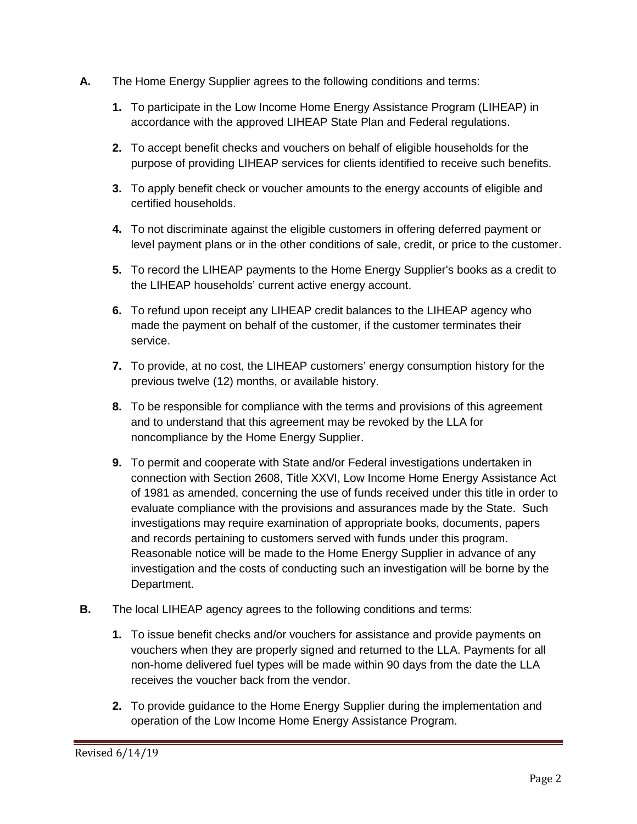- **A.** The Home Energy Supplier agrees to the following conditions and terms:
	- **1.** To participate in the Low Income Home Energy Assistance Program (LIHEAP) in accordance with the approved LIHEAP State Plan and Federal regulations.
	- **2.** To accept benefit checks and vouchers on behalf of eligible households for the purpose of providing LIHEAP services for clients identified to receive such benefits.
	- **3.** To apply benefit check or voucher amounts to the energy accounts of eligible and certified households.
	- **4.** To not discriminate against the eligible customers in offering deferred payment or level payment plans or in the other conditions of sale, credit, or price to the customer.
	- **5.** To record the LIHEAP payments to the Home Energy Supplier's books as a credit to the LIHEAP households' current active energy account.
	- **6.** To refund upon receipt any LIHEAP credit balances to the LIHEAP agency who made the payment on behalf of the customer, if the customer terminates their service.
	- **7.** To provide, at no cost, the LIHEAP customers' energy consumption history for the previous twelve (12) months, or available history.
	- **8.** To be responsible for compliance with the terms and provisions of this agreement and to understand that this agreement may be revoked by the LLA for noncompliance by the Home Energy Supplier.
	- **9.** To permit and cooperate with State and/or Federal investigations undertaken in connection with Section 2608, Title XXVI, Low Income Home Energy Assistance Act of 1981 as amended, concerning the use of funds received under this title in order to evaluate compliance with the provisions and assurances made by the State. Such investigations may require examination of appropriate books, documents, papers and records pertaining to customers served with funds under this program. Reasonable notice will be made to the Home Energy Supplier in advance of any investigation and the costs of conducting such an investigation will be borne by the Department.
- **B.** The local LIHEAP agency agrees to the following conditions and terms:
	- **1.** To issue benefit checks and/or vouchers for assistance and provide payments on vouchers when they are properly signed and returned to the LLA. Payments for all non-home delivered fuel types will be made within 90 days from the date the LLA receives the voucher back from the vendor.
	- **2.** To provide guidance to the Home Energy Supplier during the implementation and operation of the Low Income Home Energy Assistance Program.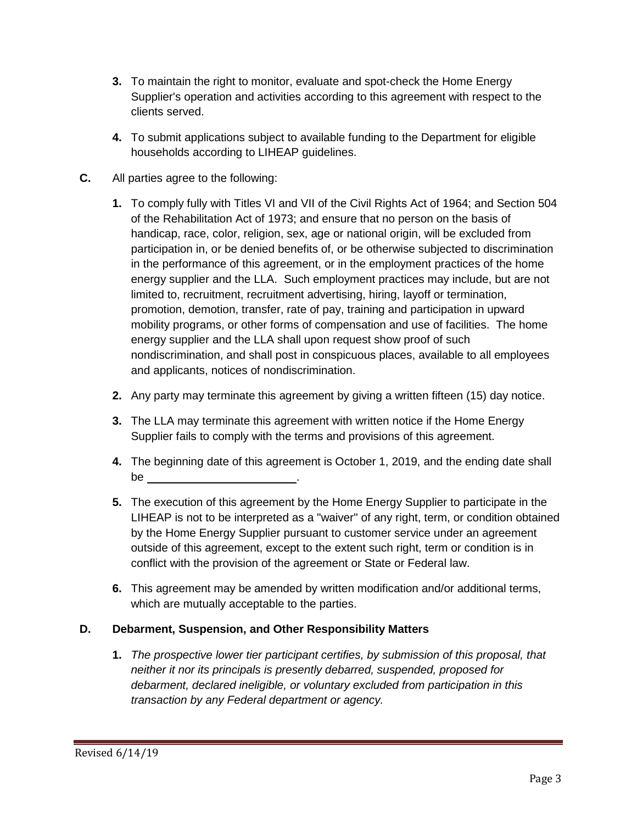- **3.** To maintain the right to monitor, evaluate and spot-check the Home Energy Supplier's operation and activities according to this agreement with respect to the clients served.
- **4.** To submit applications subject to available funding to the Department for eligible households according to LIHEAP guidelines.
- **C.** All parties agree to the following:
	- **1.** To comply fully with Titles VI and VII of the Civil Rights Act of 1964; and Section 504 of the Rehabilitation Act of 1973; and ensure that no person on the basis of handicap, race, color, religion, sex, age or national origin, will be excluded from participation in, or be denied benefits of, or be otherwise subjected to discrimination in the performance of this agreement, or in the employment practices of the home energy supplier and the LLA. Such employment practices may include, but are not limited to, recruitment, recruitment advertising, hiring, layoff or termination, promotion, demotion, transfer, rate of pay, training and participation in upward mobility programs, or other forms of compensation and use of facilities. The home energy supplier and the LLA shall upon request show proof of such nondiscrimination, and shall post in conspicuous places, available to all employees and applicants, notices of nondiscrimination.
	- **2.** Any party may terminate this agreement by giving a written fifteen (15) day notice.
	- **3.** The LLA may terminate this agreement with written notice if the Home Energy Supplier fails to comply with the terms and provisions of this agreement.
	- **4.** The beginning date of this agreement is October 1, 2019, and the ending date shall be the set of the set of the set of the set of the set of the set of the set of the set of the set of the set of the set of the set of the set of the set of the set of the set of the set of the set of the set of the set of
	- **5.** The execution of this agreement by the Home Energy Supplier to participate in the LIHEAP is not to be interpreted as a "waiver" of any right, term, or condition obtained by the Home Energy Supplier pursuant to customer service under an agreement outside of this agreement, except to the extent such right, term or condition is in conflict with the provision of the agreement or State or Federal law.
	- **6.** This agreement may be amended by written modification and/or additional terms, which are mutually acceptable to the parties.

# **D. Debarment, Suspension, and Other Responsibility Matters**

**1.** *The prospective lower tier participant certifies, by submission of this proposal, that neither it nor its principals is presently debarred, suspended, proposed for debarment, declared ineligible, or voluntary excluded from participation in this transaction by any Federal department or agency.*